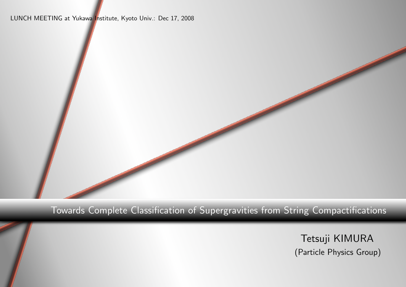LUNCH MEETING at Yukawa Institute, Kyoto Univ.: Dec 17, 2008



#### Towards Complete Classification of Supergravities from String Compactifications

Tetsuji KIMURA (Particle Physics Group)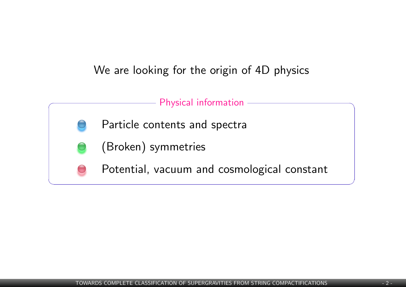#### We are looking for the origin of 4D physics

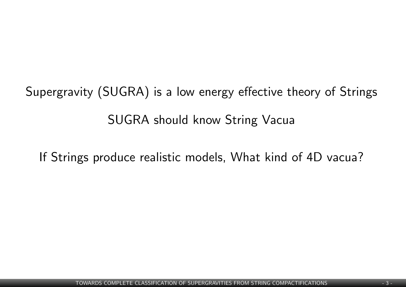Supergravity (SUGRA) is a low energy effective theory of Strings SUGRA should know String Vacua

If Strings produce realistic models, What kind of 4D vacua?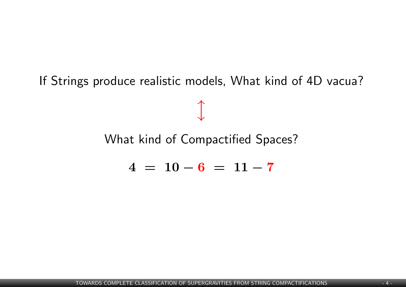If Strings produce realistic models, What kind of 4D vacua?

*l*

### What kind of Compactified Spaces?

$$
4 = 10 - 6 = 11 - 7
$$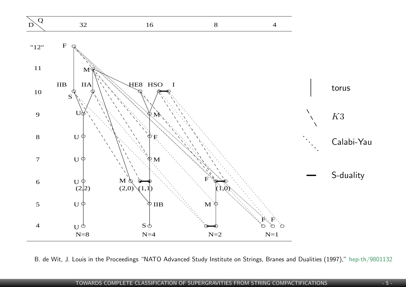

B. de Wit, J. Louis in the Proceedings "NATO Advanced Study Institute on Strings, Branes and Dualities (1997)," hep-th/9801132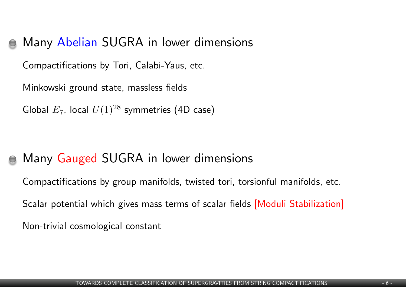## Many Abelian SUGRA in lower dimensions

Compactifications by Tori, Calabi-Yaus, etc.

Minkowski ground state, massless fields

Global  $E_7$ , local  $U(1)^{28}$  symmetries (4D case)

# Many Gauged SUGRA in lower dimensions

Compactifications by group manifolds, twisted tori, torsionful manifolds, etc.

Scalar potential which gives mass terms of scalar fields [Moduli Stabilization]

Non-trivial cosmological constant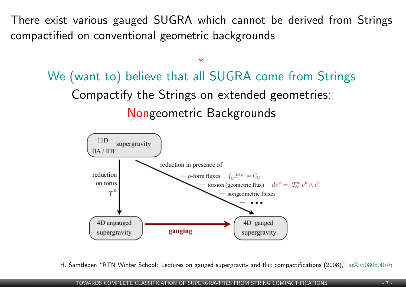There exist various gauged SUGRA which cannot be derived from Strings compactified on conventional geometric backgrounds

 $\div$ 

We (want to) believe that all SUGRA come from Strings Compactify the Strings on extended geometries: Nongeometric Backgrounds



H. Samtleben "RTN Winter School: Lectures on gauged supergravity and flux compactifications (2008)," [arXiv:0808.4076](http://www.slac.stanford.edu/spires/find/hep/wwwbrieflatex?rawcmd=FIND+KEY+7882858&FORMAT=www&SEQUENCE=)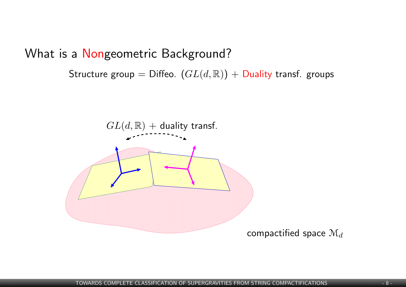What is a Nongeometric Background?

Structure group = Diffeo.  $(GL(d,\mathbb{R}))$  + Duality transf. groups

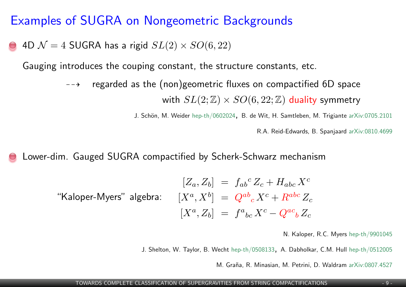### Examples of SUGRA on Nongeometric Backgrounds

4D  $\mathcal{N} = 4$  SUGRA has a rigid  $SL(2) \times SO(6, 22)$ 

Gauging introduces the couping constant, the structure constants, etc.

 $\rightarrow$  regarded as the (non)geometric fluxes on compactified 6D space with  $SL(2;\mathbb{Z}) \times SO(6,22;\mathbb{Z})$  duality symmetry

J. Schön, M. Weider [hep-th/0602024,](http://www.slac.stanford.edu/spires/find/hep/wwwbrieflatex?rawcmd=FIND+KEY+6511449&FORMAT=www&SEQUENCE=) B. de Wit, H. Samtleben, M. Trigiante [arXiv:0705.2101](http://www.slac.stanford.edu/spires/find/hep/wwwbrieflatex?rawcmd=FIND+KEY+7185545&FORMAT=www&SEQUENCE=)

R.A. Reid-Edwards, B. Spanjaard [arXiv:0810.4699](http://www.slac.stanford.edu/spires/find/hep/wwwbrieflatex?rawcmd=FIND+KEY+8033080&FORMAT=www&SEQUENCE=)

Lower-dim. Gauged SUGRA compactified by Scherk-Schwarz mechanism

$$
[Z_a, Z_b] = f_{ab}{}^c Z_c + H_{abc} X^c
$$
  
"Kaloper-Myers" algebra: 
$$
[X^a, X^b] = Q^{ab}{}_{c} X^c + R^{abc} Z_c
$$

$$
[X^a, Z_b] = f^a{}_{bc} X^c - Q^{ac}{}_{b} Z_c
$$

N. Kaloper, R.C. Myers [hep-th/9901045](http://www.slac.stanford.edu/spires/find/hep/wwwbrieflatex?rawcmd=FIND+KEY+3933768&FORMAT=www&SEQUENCE=)

J. Shelton, W. Taylor, B. Wecht [hep-th/0508133,](http://www.slac.stanford.edu/spires/find/hep/wwwbrieflatex?rawcmd=FIND+KEY+6330789&FORMAT=www&SEQUENCE=) A. Dabholkar, C.M. Hull [hep-th/0512005](http://www.slac.stanford.edu/spires/find/hep/wwwbrieflatex?rawcmd=FIND+KEY+6444296&FORMAT=www&SEQUENCE=)

M. Graña, R. Minasian, M. Petrini, D. Waldram [arXiv:0807.4527](http://www.slac.stanford.edu/spires/find/hep/wwwbrieflatex?rawcmd=FIND+KEY+7850611&FORMAT=www&SEQUENCE=)